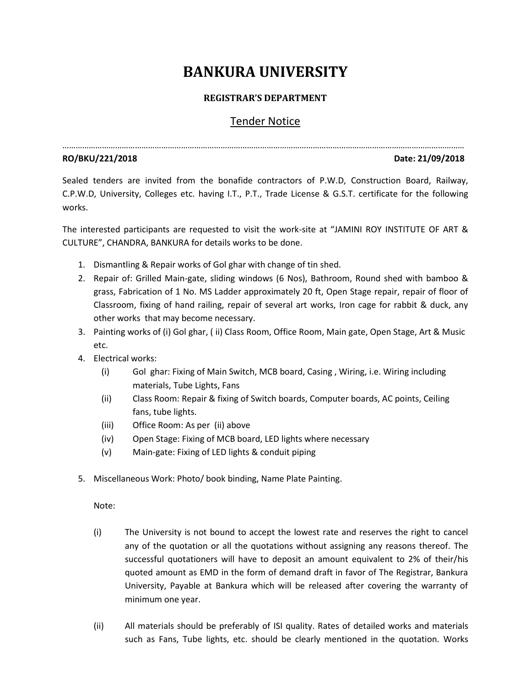# **BANKURA UNIVERSITY**

### **REGISTRAR'S DEPARTMENT**

## Tender Notice

…………………………………………………………………………………………………………………………………………………………………

### **RO/BKU/221/2018 Date: 21/09/2018**

Sealed tenders are invited from the bonafide contractors of P.W.D, Construction Board, Railway, C.P.W.D, University, Colleges etc. having I.T., P.T., Trade License & G.S.T. certificate for the following works.

The interested participants are requested to visit the work-site at "JAMINI ROY INSTITUTE OF ART & CULTURE", CHANDRA, BANKURA for details works to be done.

- 1. Dismantling & Repair works of Gol ghar with change of tin shed.
- 2. Repair of: Grilled Main-gate, sliding windows (6 Nos), Bathroom, Round shed with bamboo & grass, Fabrication of 1 No. MS Ladder approximately 20 ft, Open Stage repair, repair of floor of Classroom, fixing of hand railing, repair of several art works, Iron cage for rabbit & duck, any other works that may become necessary.
- 3. Painting works of (i) Gol ghar, ( ii) Class Room, Office Room, Main gate, Open Stage, Art & Music etc.
- 4. Electrical works:
	- (i) Gol ghar: Fixing of Main Switch, MCB board, Casing , Wiring, i.e. Wiring including materials, Tube Lights, Fans
	- (ii) Class Room: Repair & fixing of Switch boards, Computer boards, AC points, Ceiling fans, tube lights.
	- (iii) Office Room: As per (ii) above
	- (iv) Open Stage: Fixing of MCB board, LED lights where necessary
	- (v) Main-gate: Fixing of LED lights & conduit piping
- 5. Miscellaneous Work: Photo/ book binding, Name Plate Painting.

Note:

- (i) The University is not bound to accept the lowest rate and reserves the right to cancel any of the quotation or all the quotations without assigning any reasons thereof. The successful quotationers will have to deposit an amount equivalent to 2% of their/his quoted amount as EMD in the form of demand draft in favor of The Registrar, Bankura University, Payable at Bankura which will be released after covering the warranty of minimum one year.
- (ii) All materials should be preferably of ISI quality. Rates of detailed works and materials such as Fans, Tube lights, etc. should be clearly mentioned in the quotation. Works